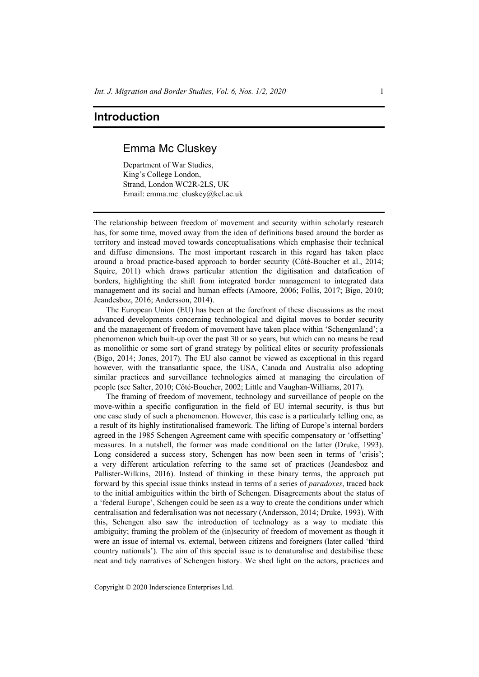# **Introduction**

## Emma Mc Cluskey

Department of War Studies, King's College London, Strand, London WC2R-2LS, UK Email: emma.mc\_cluskey@kcl.ac.uk

The relationship between freedom of movement and security within scholarly research has, for some time, moved away from the idea of definitions based around the border as territory and instead moved towards conceptualisations which emphasise their technical and diffuse dimensions. The most important research in this regard has taken place around a broad practice-based approach to border security (Côté-Boucher et al., 2014; Squire, 2011) which draws particular attention the digitisation and datafication of borders, highlighting the shift from integrated border management to integrated data management and its social and human effects (Amoore, 2006; Follis, 2017; Bigo, 2010; Jeandesboz, 2016; Andersson, 2014).

The European Union (EU) has been at the forefront of these discussions as the most advanced developments concerning technological and digital moves to border security and the management of freedom of movement have taken place within 'Schengenland'; a phenomenon which built-up over the past 30 or so years, but which can no means be read as monolithic or some sort of grand strategy by political elites or security professionals (Bigo, 2014; Jones, 2017). The EU also cannot be viewed as exceptional in this regard however, with the transatlantic space, the USA, Canada and Australia also adopting similar practices and surveillance technologies aimed at managing the circulation of people (see Salter, 2010; Côté-Boucher, 2002; Little and Vaughan-Williams, 2017).

The framing of freedom of movement, technology and surveillance of people on the move-within a specific configuration in the field of EU internal security, is thus but one case study of such a phenomenon. However, this case is a particularly telling one, as a result of its highly institutionalised framework. The lifting of Europe's internal borders agreed in the 1985 Schengen Agreement came with specific compensatory or 'offsetting' measures. In a nutshell, the former was made conditional on the latter (Druke, 1993). Long considered a success story, Schengen has now been seen in terms of 'crisis'; a very different articulation referring to the same set of practices (Jeandesboz and Pallister-Wilkins, 2016). Instead of thinking in these binary terms, the approach put forward by this special issue thinks instead in terms of a series of *paradoxes*, traced back to the initial ambiguities within the birth of Schengen. Disagreements about the status of a 'federal Europe', Schengen could be seen as a way to create the conditions under which centralisation and federalisation was not necessary (Andersson, 2014; Druke, 1993). With this, Schengen also saw the introduction of technology as a way to mediate this ambiguity; framing the problem of the (in)security of freedom of movement as though it were an issue of internal vs. external, between citizens and foreigners (later called 'third country nationals'). The aim of this special issue is to denaturalise and destabilise these neat and tidy narratives of Schengen history. We shed light on the actors, practices and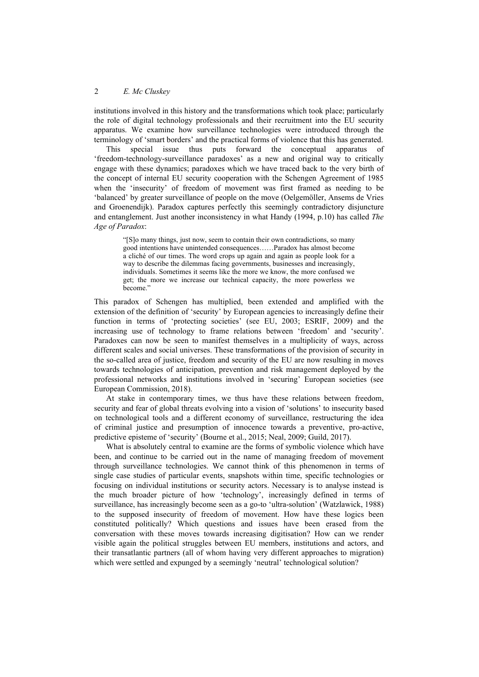institutions involved in this history and the transformations which took place; particularly the role of digital technology professionals and their recruitment into the EU security apparatus. We examine how surveillance technologies were introduced through the terminology of 'smart borders' and the practical forms of violence that this has generated.

This special issue thus puts forward the conceptual apparatus of 'freedom-technology-surveillance paradoxes' as a new and original way to critically engage with these dynamics; paradoxes which we have traced back to the very birth of the concept of internal EU security cooperation with the Schengen Agreement of 1985 when the 'insecurity' of freedom of movement was first framed as needing to be 'balanced' by greater surveillance of people on the move (Oelgemöller, Ansems de Vries and Groenendijk). Paradox captures perfectly this seemingly contradictory disjuncture and entanglement. Just another inconsistency in what Handy (1994, p.10) has called *The Age of Paradox*:

> "[S]o many things, just now, seem to contain their own contradictions, so many good intentions have unintended consequences……Paradox has almost become a cliché of our times. The word crops up again and again as people look for a way to describe the dilemmas facing governments, businesses and increasingly, individuals. Sometimes it seems like the more we know, the more confused we get; the more we increase our technical capacity, the more powerless we become."

This paradox of Schengen has multiplied, been extended and amplified with the extension of the definition of 'security' by European agencies to increasingly define their function in terms of 'protecting societies' (see EU, 2003; ESRIF, 2009) and the increasing use of technology to frame relations between 'freedom' and 'security'. Paradoxes can now be seen to manifest themselves in a multiplicity of ways, across different scales and social universes. These transformations of the provision of security in the so-called area of justice, freedom and security of the EU are now resulting in moves towards technologies of anticipation, prevention and risk management deployed by the professional networks and institutions involved in 'securing' European societies (see European Commission, 2018).

At stake in contemporary times, we thus have these relations between freedom, security and fear of global threats evolving into a vision of 'solutions' to insecurity based on technological tools and a different economy of surveillance, restructuring the idea of criminal justice and presumption of innocence towards a preventive, pro-active, predictive episteme of 'security' (Bourne et al., 2015; Neal, 2009; Guild, 2017).

What is absolutely central to examine are the forms of symbolic violence which have been, and continue to be carried out in the name of managing freedom of movement through surveillance technologies. We cannot think of this phenomenon in terms of single case studies of particular events, snapshots within time, specific technologies or focusing on individual institutions or security actors. Necessary is to analyse instead is the much broader picture of how 'technology', increasingly defined in terms of surveillance, has increasingly become seen as a go-to 'ultra-solution' (Watzlawick, 1988) to the supposed insecurity of freedom of movement. How have these logics been constituted politically? Which questions and issues have been erased from the conversation with these moves towards increasing digitisation? How can we render visible again the political struggles between EU members, institutions and actors, and their transatlantic partners (all of whom having very different approaches to migration) which were settled and expunged by a seemingly 'neutral' technological solution?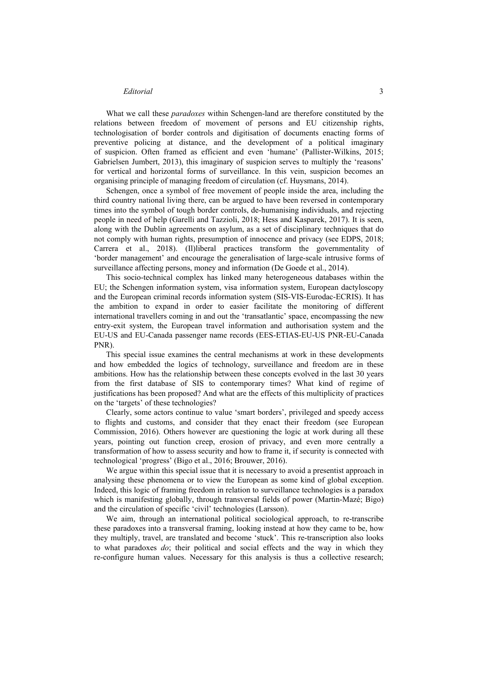#### *Editorial* 3

What we call these *paradoxes* within Schengen-land are therefore constituted by the relations between freedom of movement of persons and EU citizenship rights, technologisation of border controls and digitisation of documents enacting forms of preventive policing at distance, and the development of a political imaginary of suspicion. Often framed as efficient and even 'humane' (Pallister-Wilkins, 2015; Gabrielsen Jumbert, 2013), this imaginary of suspicion serves to multiply the 'reasons' for vertical and horizontal forms of surveillance. In this vein, suspicion becomes an organising principle of managing freedom of circulation (cf. Huysmans, 2014).

Schengen, once a symbol of free movement of people inside the area, including the third country national living there, can be argued to have been reversed in contemporary times into the symbol of tough border controls, de-humanising individuals, and rejecting people in need of help (Garelli and Tazzioli, 2018; Hess and Kasparek, 2017). It is seen, along with the Dublin agreements on asylum, as a set of disciplinary techniques that do not comply with human rights, presumption of innocence and privacy (see EDPS, 2018; Carrera et al., 2018). (Il)liberal practices transform the governmentality of 'border management' and encourage the generalisation of large-scale intrusive forms of surveillance affecting persons, money and information (De Goede et al., 2014).

This socio-technical complex has linked many heterogeneous databases within the EU; the Schengen information system, visa information system, European dactyloscopy and the European criminal records information system (SIS-VIS-Eurodac-ECRIS). It has the ambition to expand in order to easier facilitate the monitoring of different international travellers coming in and out the 'transatlantic' space, encompassing the new entry-exit system, the European travel information and authorisation system and the EU-US and EU-Canada passenger name records (EES-ETIAS-EU-US PNR-EU-Canada PNR).

This special issue examines the central mechanisms at work in these developments and how embedded the logics of technology, surveillance and freedom are in these ambitions. How has the relationship between these concepts evolved in the last 30 years from the first database of SIS to contemporary times? What kind of regime of justifications has been proposed? And what are the effects of this multiplicity of practices on the 'targets' of these technologies?

Clearly, some actors continue to value 'smart borders', privileged and speedy access to flights and customs, and consider that they enact their freedom (see European Commission, 2016). Others however are questioning the logic at work during all these years, pointing out function creep, erosion of privacy, and even more centrally a transformation of how to assess security and how to frame it, if security is connected with technological 'progress' (Bigo et al., 2016; Brouwer, 2016).

We argue within this special issue that it is necessary to avoid a presentist approach in analysing these phenomena or to view the European as some kind of global exception. Indeed, this logic of framing freedom in relation to surveillance technologies is a paradox which is manifesting globally, through transversal fields of power (Martin-Mazé; Bigo) and the circulation of specific 'civil' technologies (Larsson).

We aim, through an international political sociological approach, to re-transcribe these paradoxes into a transversal framing, looking instead at how they came to be, how they multiply, travel, are translated and become 'stuck'. This re-transcription also looks to what paradoxes *do*; their political and social effects and the way in which they re-configure human values. Necessary for this analysis is thus a collective research;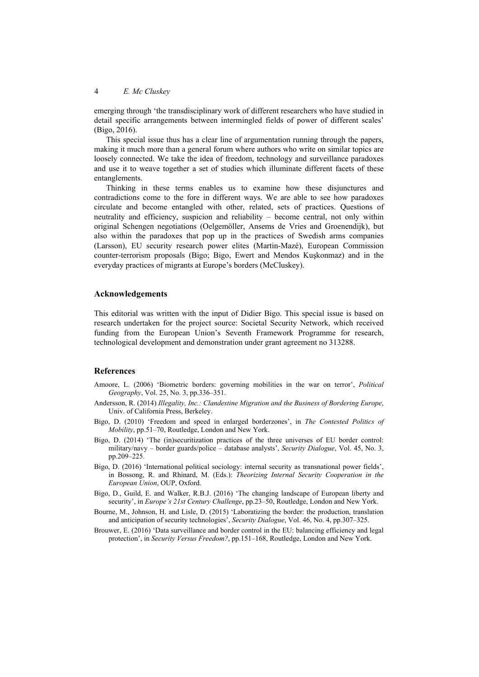emerging through 'the transdisciplinary work of different researchers who have studied in detail specific arrangements between intermingled fields of power of different scales' (Bigo, 2016).

This special issue thus has a clear line of argumentation running through the papers, making it much more than a general forum where authors who write on similar topics are loosely connected. We take the idea of freedom, technology and surveillance paradoxes and use it to weave together a set of studies which illuminate different facets of these entanglements.

Thinking in these terms enables us to examine how these disjunctures and contradictions come to the fore in different ways. We are able to see how paradoxes circulate and become entangled with other, related, sets of practices. Questions of neutrality and efficiency, suspicion and reliability – become central, not only within original Schengen negotiations (Oelgemöller, Ansems de Vries and Groenendijk), but also within the paradoxes that pop up in the practices of Swedish arms companies (Larsson), EU security research power elites (Martin-Mazé), European Commission counter-terrorism proposals (Bigo; Bigo, Ewert and Mendos Kuşkonmaz) and in the everyday practices of migrants at Europe's borders (McCluskey).

#### **Acknowledgements**

This editorial was written with the input of Didier Bigo. This special issue is based on research undertaken for the project source: Societal Security Network, which received funding from the European Union's Seventh Framework Programme for research, technological development and demonstration under grant agreement no 313288.

### **References**

- Amoore, L. (2006) 'Biometric borders: governing mobilities in the war on terror', *Political Geography*, Vol. 25, No. 3, pp.336–351.
- Andersson, R. (2014) *Illegality, Inc.: Clandestine Migration and the Business of Bordering Europe*, Univ. of California Press, Berkeley.
- Bigo, D. (2010) 'Freedom and speed in enlarged borderzones', in *The Contested Politics of Mobility*, pp.51–70, Routledge, London and New York.
- Bigo, D. (2014) 'The (in)securitization practices of the three universes of EU border control: military/navy – border guards/police – database analysts', *Security Dialogue*, Vol. 45, No. 3, pp.209–225.
- Bigo, D. (2016) 'International political sociology: internal security as transnational power fields', in Bossong, R. and Rhinard, M. (Eds.): *Theorizing Internal Security Cooperation in the European Union*, OUP, Oxford.
- Bigo, D., Guild, E. and Walker, R.B.J. (2016) 'The changing landscape of European liberty and security', in *Europe's 21st Century Challenge*, pp.23–50, Routledge, London and New York.
- Bourne, M., Johnson, H. and Lisle, D. (2015) 'Laboratizing the border: the production, translation and anticipation of security technologies', *Security Dialogue*, Vol. 46, No. 4, pp.307–325.
- Brouwer, E. (2016) 'Data surveillance and border control in the EU: balancing efficiency and legal protection', in *Security Versus Freedom?*, pp.151–168, Routledge, London and New York.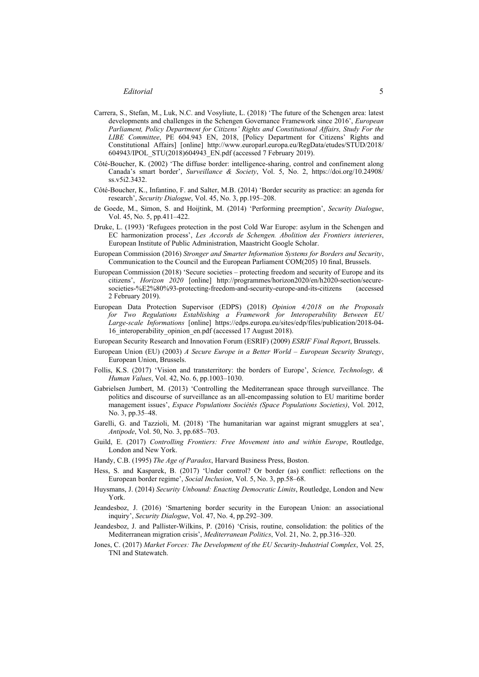- Carrera, S., Stefan, M., Luk, N.C. and Vosyliute, L. (2018) 'The future of the Schengen area: latest developments and challenges in the Schengen Governance Framework since 2016', *European Parliament, Policy Department for Citizens' Rights and Constitutional Affairs, Study For the LIBE Committee*, PE 604.943 EN, 2018, [Policy Department for Citizens' Rights and Constitutional Affairs] [online] http://www.europarl.europa.eu/RegData/etudes/STUD/2018/ 604943/IPOL\_STU(2018)604943\_EN.pdf (accessed 7 February 2019).
- Côté-Boucher, K. (2002) 'The diffuse border: intelligence-sharing, control and confinement along Canada's smart border', *Surveillance & Society*, Vol. 5, No. 2, https://doi.org/10.24908/ ss.v5i2.3432.
- Côté-Boucher, K., Infantino, F. and Salter, M.B. (2014) 'Border security as practice: an agenda for research', *Security Dialogue*, Vol. 45, No. 3, pp.195–208.
- de Goede, M., Simon, S. and Hoijtink, M. (2014) 'Performing preemption', *Security Dialogue*, Vol. 45, No. 5, pp.411–422.
- Druke, L. (1993) 'Refugees protection in the post Cold War Europe: asylum in the Schengen and EC harmonization process', *Les Accords de Schengen. Abolition des Frontiers interieres*, European Institute of Public Administration, Maastricht Google Scholar.
- European Commission (2016) *Stronger and Smarter Information Systems for Borders and Security*, Communication to the Council and the European Parliament COM(205) 10 final, Brussels.
- European Commission (2018) 'Secure societies protecting freedom and security of Europe and its citizens', *Horizon 2020* [online] http://programmes/horizon2020/en/h2020-section/securesocieties-%E2%80%93-protecting-freedom-and-security-europe-and-its-citizens (accessed 2 February 2019).
- European Data Protection Supervisor (EDPS) (2018) *Opinion 4/2018 on the Proposals for Two Regulations Establishing a Framework for Interoperability Between EU Large-scale Informations* [online] https://edps.europa.eu/sites/edp/files/publication/2018-04- 16 interoperability opinion en.pdf (accessed 17 August 2018).
- European Security Research and Innovation Forum (ESRIF) (2009) *ESRIF Final Report*, Brussels.
- European Union (EU) (2003) *A Secure Europe in a Better World European Security Strategy*, European Union, Brussels.
- Follis, K.S. (2017) 'Vision and transterritory: the borders of Europe', *Science, Technology, & Human Values*, Vol. 42, No. 6, pp.1003–1030.
- Gabrielsen Jumbert, M. (2013) 'Controlling the Mediterranean space through surveillance. The politics and discourse of surveillance as an all-encompassing solution to EU maritime border management issues', *Espace Populations Sociétés (Space Populations Societies)*, Vol. 2012, No. 3, pp.35–48.
- Garelli, G. and Tazzioli, M. (2018) 'The humanitarian war against migrant smugglers at sea', *Antipode*, Vol. 50, No. 3, pp.685–703.
- Guild, E. (2017) *Controlling Frontiers: Free Movement into and within Europe*, Routledge, London and New York.
- Handy, C.B. (1995) *The Age of Paradox*, Harvard Business Press, Boston.
- Hess, S. and Kasparek, B. (2017) 'Under control? Or border (as) conflict: reflections on the European border regime', *Social Inclusion*, Vol. 5, No. 3, pp.58–68.
- Huysmans, J. (2014) *Security Unbound: Enacting Democratic Limits*, Routledge, London and New York.
- Jeandesboz, J. (2016) 'Smartening border security in the European Union: an associational inquiry', *Security Dialogue*, Vol. 47, No. 4, pp.292–309.
- Jeandesboz, J. and Pallister-Wilkins, P. (2016) 'Crisis, routine, consolidation: the politics of the Mediterranean migration crisis', *Mediterranean Politics*, Vol. 21, No. 2, pp.316–320.
- Jones, C. (2017) *Market Forces: The Development of the EU Security-Industrial Complex*, Vol. 25, TNI and Statewatch.